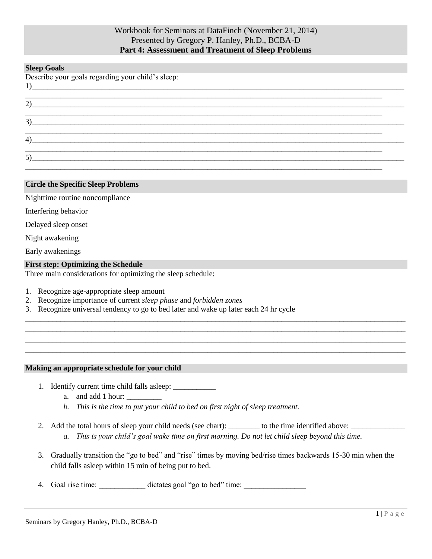# Workbook for Seminars at DataFinch (November 21, 2014) Presented by Gregory P. Hanley, Ph.D., BCBA-D **Part 4: Assessment and Treatment of Sleep Problems**

### **Sleep Goals**

| Describe your goals regarding your child's sleep: |  |  |
|---------------------------------------------------|--|--|
| 2)                                                |  |  |
| 3)                                                |  |  |
| 4)                                                |  |  |
| 5)                                                |  |  |

### **Circle the Specific Sleep Problems**

Nighttime routine noncompliance

Interfering behavior

Delayed sleep onset

Night awakening

Early awakenings

#### **First step: Optimizing the Schedule**

Three main considerations for optimizing the sleep schedule:

- 1. Recognize age-appropriate sleep amount
- 2. Recognize importance of current *sleep phase* and *forbidden zones*
- 3. Recognize universal tendency to go to bed later and wake up later each 24 hr cycle

### **Making an appropriate schedule for your child**

- 1. Identify current time child falls asleep: \_\_\_\_\_\_\_\_\_\_\_
	- a. and add 1 hour:
	- *b. This is the time to put your child to bed on first night of sleep treatment.*
- 2. Add the total hours of sleep your child needs (see chart): \_\_\_\_\_\_\_\_\_ to the time identified above:
	- *a. This is your child's goal wake time on first morning. Do not let child sleep beyond this time.*

\_\_\_\_\_\_\_\_\_\_\_\_\_\_\_\_\_\_\_\_\_\_\_\_\_\_\_\_\_\_\_\_\_\_\_\_\_\_\_\_\_\_\_\_\_\_\_\_\_\_\_\_\_\_\_\_\_\_\_\_\_\_\_\_\_\_\_\_\_\_\_\_\_\_\_\_\_\_\_\_\_\_\_\_\_\_\_\_\_\_\_\_\_\_\_\_\_\_ \_\_\_\_\_\_\_\_\_\_\_\_\_\_\_\_\_\_\_\_\_\_\_\_\_\_\_\_\_\_\_\_\_\_\_\_\_\_\_\_\_\_\_\_\_\_\_\_\_\_\_\_\_\_\_\_\_\_\_\_\_\_\_\_\_\_\_\_\_\_\_\_\_\_\_\_\_\_\_\_\_\_\_\_\_\_\_\_\_\_\_\_\_\_\_\_\_\_ \_\_\_\_\_\_\_\_\_\_\_\_\_\_\_\_\_\_\_\_\_\_\_\_\_\_\_\_\_\_\_\_\_\_\_\_\_\_\_\_\_\_\_\_\_\_\_\_\_\_\_\_\_\_\_\_\_\_\_\_\_\_\_\_\_\_\_\_\_\_\_\_\_\_\_\_\_\_\_\_\_\_\_\_\_\_\_\_\_\_\_\_\_\_\_\_\_\_ \_\_\_\_\_\_\_\_\_\_\_\_\_\_\_\_\_\_\_\_\_\_\_\_\_\_\_\_\_\_\_\_\_\_\_\_\_\_\_\_\_\_\_\_\_\_\_\_\_\_\_\_\_\_\_\_\_\_\_\_\_\_\_\_\_\_\_\_\_\_\_\_\_\_\_\_\_\_\_\_\_\_\_\_\_\_\_\_\_\_\_\_\_\_\_\_\_\_

- 3. Gradually transition the "go to bed" and "rise" times by moving bed/rise times backwards 15-30 min when the child falls asleep within 15 min of being put to bed.
- 4. Goal rise time: dictates goal "go to bed" time: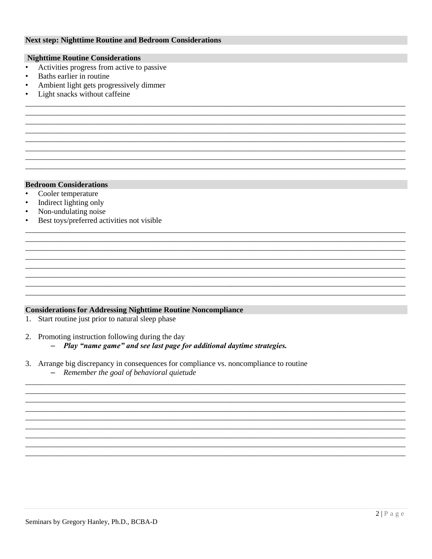### **Next step: Nighttime Routine and Bedroom Considerations**

### **Nighttime Routine Considerations**

- Activities progress from active to passive  $\bullet$
- $\bullet$ Baths earlier in routine
- Ambient light gets progressively dimmer
- Light snacks without caffeine

### **Bedroom Considerations**

- Cooler temperature  $\bullet$
- Indirect lighting only  $\bullet$
- Non-undulating noise  $\bullet$
- Best toys/preferred activities not visible

### **Considerations for Addressing Nighttime Routine Noncompliance**

1. Start routine just prior to natural sleep phase

2. Promoting instruction following during the day

- Play "name game" and see last page for additional daytime strategies.

- 3. Arrange big discrepancy in consequences for compliance vs. noncompliance to routine
	- Remember the goal of behavioral quietude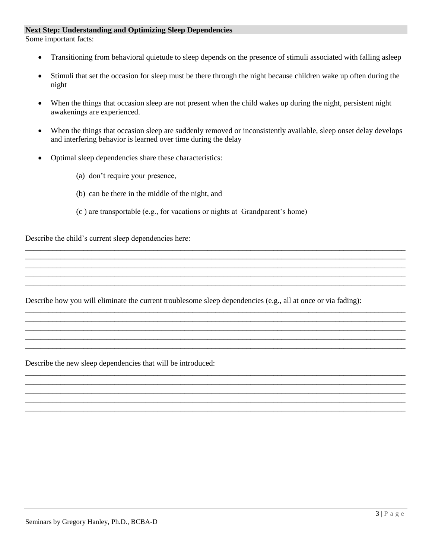### **Next Step: Understanding and Optimizing Sleep Dependencies**

Some important facts:

- Transitioning from behavioral quietude to sleep depends on the presence of stimuli associated with falling asleep
- Stimuli that set the occasion for sleep must be there through the night because children wake up often during the night
- When the things that occasion sleep are not present when the child wakes up during the night, persistent night awakenings are experienced.
- When the things that occasion sleep are suddenly removed or inconsistently available, sleep onset delay develops and interfering behavior is learned over time during the delay

\_\_\_\_\_\_\_\_\_\_\_\_\_\_\_\_\_\_\_\_\_\_\_\_\_\_\_\_\_\_\_\_\_\_\_\_\_\_\_\_\_\_\_\_\_\_\_\_\_\_\_\_\_\_\_\_\_\_\_\_\_\_\_\_\_\_\_\_\_\_\_\_\_\_\_\_\_\_\_\_\_\_\_\_\_\_\_\_\_\_\_\_\_\_\_\_\_\_ \_\_\_\_\_\_\_\_\_\_\_\_\_\_\_\_\_\_\_\_\_\_\_\_\_\_\_\_\_\_\_\_\_\_\_\_\_\_\_\_\_\_\_\_\_\_\_\_\_\_\_\_\_\_\_\_\_\_\_\_\_\_\_\_\_\_\_\_\_\_\_\_\_\_\_\_\_\_\_\_\_\_\_\_\_\_\_\_\_\_\_\_\_\_\_\_\_\_ \_\_\_\_\_\_\_\_\_\_\_\_\_\_\_\_\_\_\_\_\_\_\_\_\_\_\_\_\_\_\_\_\_\_\_\_\_\_\_\_\_\_\_\_\_\_\_\_\_\_\_\_\_\_\_\_\_\_\_\_\_\_\_\_\_\_\_\_\_\_\_\_\_\_\_\_\_\_\_\_\_\_\_\_\_\_\_\_\_\_\_\_\_\_\_\_\_\_ \_\_\_\_\_\_\_\_\_\_\_\_\_\_\_\_\_\_\_\_\_\_\_\_\_\_\_\_\_\_\_\_\_\_\_\_\_\_\_\_\_\_\_\_\_\_\_\_\_\_\_\_\_\_\_\_\_\_\_\_\_\_\_\_\_\_\_\_\_\_\_\_\_\_\_\_\_\_\_\_\_\_\_\_\_\_\_\_\_\_\_\_\_\_\_\_\_\_ \_\_\_\_\_\_\_\_\_\_\_\_\_\_\_\_\_\_\_\_\_\_\_\_\_\_\_\_\_\_\_\_\_\_\_\_\_\_\_\_\_\_\_\_\_\_\_\_\_\_\_\_\_\_\_\_\_\_\_\_\_\_\_\_\_\_\_\_\_\_\_\_\_\_\_\_\_\_\_\_\_\_\_\_\_\_\_\_\_\_\_\_\_\_\_\_\_\_

\_\_\_\_\_\_\_\_\_\_\_\_\_\_\_\_\_\_\_\_\_\_\_\_\_\_\_\_\_\_\_\_\_\_\_\_\_\_\_\_\_\_\_\_\_\_\_\_\_\_\_\_\_\_\_\_\_\_\_\_\_\_\_\_\_\_\_\_\_\_\_\_\_\_\_\_\_\_\_\_\_\_\_\_\_\_\_\_\_\_\_\_\_\_\_\_\_\_ \_\_\_\_\_\_\_\_\_\_\_\_\_\_\_\_\_\_\_\_\_\_\_\_\_\_\_\_\_\_\_\_\_\_\_\_\_\_\_\_\_\_\_\_\_\_\_\_\_\_\_\_\_\_\_\_\_\_\_\_\_\_\_\_\_\_\_\_\_\_\_\_\_\_\_\_\_\_\_\_\_\_\_\_\_\_\_\_\_\_\_\_\_\_\_\_\_\_ \_\_\_\_\_\_\_\_\_\_\_\_\_\_\_\_\_\_\_\_\_\_\_\_\_\_\_\_\_\_\_\_\_\_\_\_\_\_\_\_\_\_\_\_\_\_\_\_\_\_\_\_\_\_\_\_\_\_\_\_\_\_\_\_\_\_\_\_\_\_\_\_\_\_\_\_\_\_\_\_\_\_\_\_\_\_\_\_\_\_\_\_\_\_\_\_\_\_ \_\_\_\_\_\_\_\_\_\_\_\_\_\_\_\_\_\_\_\_\_\_\_\_\_\_\_\_\_\_\_\_\_\_\_\_\_\_\_\_\_\_\_\_\_\_\_\_\_\_\_\_\_\_\_\_\_\_\_\_\_\_\_\_\_\_\_\_\_\_\_\_\_\_\_\_\_\_\_\_\_\_\_\_\_\_\_\_\_\_\_\_\_\_\_\_\_\_ \_\_\_\_\_\_\_\_\_\_\_\_\_\_\_\_\_\_\_\_\_\_\_\_\_\_\_\_\_\_\_\_\_\_\_\_\_\_\_\_\_\_\_\_\_\_\_\_\_\_\_\_\_\_\_\_\_\_\_\_\_\_\_\_\_\_\_\_\_\_\_\_\_\_\_\_\_\_\_\_\_\_\_\_\_\_\_\_\_\_\_\_\_\_\_\_\_\_

\_\_\_\_\_\_\_\_\_\_\_\_\_\_\_\_\_\_\_\_\_\_\_\_\_\_\_\_\_\_\_\_\_\_\_\_\_\_\_\_\_\_\_\_\_\_\_\_\_\_\_\_\_\_\_\_\_\_\_\_\_\_\_\_\_\_\_\_\_\_\_\_\_\_\_\_\_\_\_\_\_\_\_\_\_\_\_\_\_\_\_\_\_\_\_\_\_\_ \_\_\_\_\_\_\_\_\_\_\_\_\_\_\_\_\_\_\_\_\_\_\_\_\_\_\_\_\_\_\_\_\_\_\_\_\_\_\_\_\_\_\_\_\_\_\_\_\_\_\_\_\_\_\_\_\_\_\_\_\_\_\_\_\_\_\_\_\_\_\_\_\_\_\_\_\_\_\_\_\_\_\_\_\_\_\_\_\_\_\_\_\_\_\_\_\_\_ \_\_\_\_\_\_\_\_\_\_\_\_\_\_\_\_\_\_\_\_\_\_\_\_\_\_\_\_\_\_\_\_\_\_\_\_\_\_\_\_\_\_\_\_\_\_\_\_\_\_\_\_\_\_\_\_\_\_\_\_\_\_\_\_\_\_\_\_\_\_\_\_\_\_\_\_\_\_\_\_\_\_\_\_\_\_\_\_\_\_\_\_\_\_\_\_\_\_ \_\_\_\_\_\_\_\_\_\_\_\_\_\_\_\_\_\_\_\_\_\_\_\_\_\_\_\_\_\_\_\_\_\_\_\_\_\_\_\_\_\_\_\_\_\_\_\_\_\_\_\_\_\_\_\_\_\_\_\_\_\_\_\_\_\_\_\_\_\_\_\_\_\_\_\_\_\_\_\_\_\_\_\_\_\_\_\_\_\_\_\_\_\_\_\_\_\_ \_\_\_\_\_\_\_\_\_\_\_\_\_\_\_\_\_\_\_\_\_\_\_\_\_\_\_\_\_\_\_\_\_\_\_\_\_\_\_\_\_\_\_\_\_\_\_\_\_\_\_\_\_\_\_\_\_\_\_\_\_\_\_\_\_\_\_\_\_\_\_\_\_\_\_\_\_\_\_\_\_\_\_\_\_\_\_\_\_\_\_\_\_\_\_\_\_\_

- Optimal sleep dependencies share these characteristics:
	- (a) don't require your presence,
	- (b) can be there in the middle of the night, and
	- (c ) are transportable (e.g., for vacations or nights at Grandparent's home)

Describe the child's current sleep dependencies here:

Describe how you will eliminate the current troublesome sleep dependencies (e.g., all at once or via fading):

Describe the new sleep dependencies that will be introduced: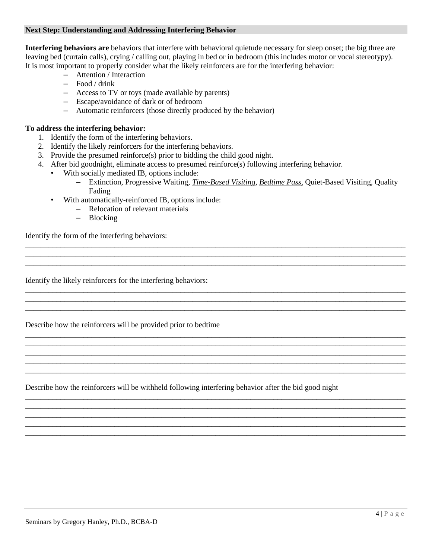### **Next Step: Understanding and Addressing Interfering Behavior**

**Interfering behaviors are** behaviors that interfere with behavioral quietude necessary for sleep onset; the big three are leaving bed (curtain calls), crying / calling out, playing in bed or in bedroom (this includes motor or vocal stereotypy). It is most important to properly consider what the likely reinforcers are for the interfering behavior:

- Attention / Interaction
- Food / drink
- Access to TV or toys (made available by parents)
- Escape/avoidance of dark or of bedroom
- Automatic reinforcers (those directly produced by the behavior)

## **To address the interfering behavior:**

- 1. Identify the form of the interfering behaviors.
- 2. Identify the likely reinforcers for the interfering behaviors.
- 3. Provide the presumed reinforce(s) prior to bidding the child good night.
- 4. After bid goodnight, eliminate access to presumed reinforce(s) following interfering behavior.
	- With socially mediated IB, options include:
		- Extinction, Progressive Waiting, *Time-Based Visiting*, *Bedtime Pass*, Quiet-Based Visiting, Quality Fading

\_\_\_\_\_\_\_\_\_\_\_\_\_\_\_\_\_\_\_\_\_\_\_\_\_\_\_\_\_\_\_\_\_\_\_\_\_\_\_\_\_\_\_\_\_\_\_\_\_\_\_\_\_\_\_\_\_\_\_\_\_\_\_\_\_\_\_\_\_\_\_\_\_\_\_\_\_\_\_\_\_\_\_\_\_\_\_\_\_\_\_\_\_\_\_\_\_\_ \_\_\_\_\_\_\_\_\_\_\_\_\_\_\_\_\_\_\_\_\_\_\_\_\_\_\_\_\_\_\_\_\_\_\_\_\_\_\_\_\_\_\_\_\_\_\_\_\_\_\_\_\_\_\_\_\_\_\_\_\_\_\_\_\_\_\_\_\_\_\_\_\_\_\_\_\_\_\_\_\_\_\_\_\_\_\_\_\_\_\_\_\_\_\_\_\_\_

\_\_\_\_\_\_\_\_\_\_\_\_\_\_\_\_\_\_\_\_\_\_\_\_\_\_\_\_\_\_\_\_\_\_\_\_\_\_\_\_\_\_\_\_\_\_\_\_\_\_\_\_\_\_\_\_\_\_\_\_\_\_\_\_\_\_\_\_\_\_\_\_\_\_\_\_\_\_\_\_\_\_\_\_\_\_\_\_\_\_\_\_\_\_\_\_\_\_ \_\_\_\_\_\_\_\_\_\_\_\_\_\_\_\_\_\_\_\_\_\_\_\_\_\_\_\_\_\_\_\_\_\_\_\_\_\_\_\_\_\_\_\_\_\_\_\_\_\_\_\_\_\_\_\_\_\_\_\_\_\_\_\_\_\_\_\_\_\_\_\_\_\_\_\_\_\_\_\_\_\_\_\_\_\_\_\_\_\_\_\_\_\_\_\_\_\_ \_\_\_\_\_\_\_\_\_\_\_\_\_\_\_\_\_\_\_\_\_\_\_\_\_\_\_\_\_\_\_\_\_\_\_\_\_\_\_\_\_\_\_\_\_\_\_\_\_\_\_\_\_\_\_\_\_\_\_\_\_\_\_\_\_\_\_\_\_\_\_\_\_\_\_\_\_\_\_\_\_\_\_\_\_\_\_\_\_\_\_\_\_\_\_\_\_\_

\_\_\_\_\_\_\_\_\_\_\_\_\_\_\_\_\_\_\_\_\_\_\_\_\_\_\_\_\_\_\_\_\_\_\_\_\_\_\_\_\_\_\_\_\_\_\_\_\_\_\_\_\_\_\_\_\_\_\_\_\_\_\_\_\_\_\_\_\_\_\_\_\_\_\_\_\_\_\_\_\_\_\_\_\_\_\_\_\_\_\_\_\_\_\_\_\_\_ \_\_\_\_\_\_\_\_\_\_\_\_\_\_\_\_\_\_\_\_\_\_\_\_\_\_\_\_\_\_\_\_\_\_\_\_\_\_\_\_\_\_\_\_\_\_\_\_\_\_\_\_\_\_\_\_\_\_\_\_\_\_\_\_\_\_\_\_\_\_\_\_\_\_\_\_\_\_\_\_\_\_\_\_\_\_\_\_\_\_\_\_\_\_\_\_\_\_ \_\_\_\_\_\_\_\_\_\_\_\_\_\_\_\_\_\_\_\_\_\_\_\_\_\_\_\_\_\_\_\_\_\_\_\_\_\_\_\_\_\_\_\_\_\_\_\_\_\_\_\_\_\_\_\_\_\_\_\_\_\_\_\_\_\_\_\_\_\_\_\_\_\_\_\_\_\_\_\_\_\_\_\_\_\_\_\_\_\_\_\_\_\_\_\_\_\_ \_\_\_\_\_\_\_\_\_\_\_\_\_\_\_\_\_\_\_\_\_\_\_\_\_\_\_\_\_\_\_\_\_\_\_\_\_\_\_\_\_\_\_\_\_\_\_\_\_\_\_\_\_\_\_\_\_\_\_\_\_\_\_\_\_\_\_\_\_\_\_\_\_\_\_\_\_\_\_\_\_\_\_\_\_\_\_\_\_\_\_\_\_\_\_\_\_\_ \_\_\_\_\_\_\_\_\_\_\_\_\_\_\_\_\_\_\_\_\_\_\_\_\_\_\_\_\_\_\_\_\_\_\_\_\_\_\_\_\_\_\_\_\_\_\_\_\_\_\_\_\_\_\_\_\_\_\_\_\_\_\_\_\_\_\_\_\_\_\_\_\_\_\_\_\_\_\_\_\_\_\_\_\_\_\_\_\_\_\_\_\_\_\_\_\_\_

\_\_\_\_\_\_\_\_\_\_\_\_\_\_\_\_\_\_\_\_\_\_\_\_\_\_\_\_\_\_\_\_\_\_\_\_\_\_\_\_\_\_\_\_\_\_\_\_\_\_\_\_\_\_\_\_\_\_\_\_\_\_\_\_\_\_\_\_\_\_\_\_\_\_\_\_\_\_\_\_\_\_\_\_\_\_\_\_\_\_\_\_\_\_\_\_\_\_ \_\_\_\_\_\_\_\_\_\_\_\_\_\_\_\_\_\_\_\_\_\_\_\_\_\_\_\_\_\_\_\_\_\_\_\_\_\_\_\_\_\_\_\_\_\_\_\_\_\_\_\_\_\_\_\_\_\_\_\_\_\_\_\_\_\_\_\_\_\_\_\_\_\_\_\_\_\_\_\_\_\_\_\_\_\_\_\_\_\_\_\_\_\_\_\_\_\_ \_\_\_\_\_\_\_\_\_\_\_\_\_\_\_\_\_\_\_\_\_\_\_\_\_\_\_\_\_\_\_\_\_\_\_\_\_\_\_\_\_\_\_\_\_\_\_\_\_\_\_\_\_\_\_\_\_\_\_\_\_\_\_\_\_\_\_\_\_\_\_\_\_\_\_\_\_\_\_\_\_\_\_\_\_\_\_\_\_\_\_\_\_\_\_\_\_\_ \_\_\_\_\_\_\_\_\_\_\_\_\_\_\_\_\_\_\_\_\_\_\_\_\_\_\_\_\_\_\_\_\_\_\_\_\_\_\_\_\_\_\_\_\_\_\_\_\_\_\_\_\_\_\_\_\_\_\_\_\_\_\_\_\_\_\_\_\_\_\_\_\_\_\_\_\_\_\_\_\_\_\_\_\_\_\_\_\_\_\_\_\_\_\_\_\_\_ \_\_\_\_\_\_\_\_\_\_\_\_\_\_\_\_\_\_\_\_\_\_\_\_\_\_\_\_\_\_\_\_\_\_\_\_\_\_\_\_\_\_\_\_\_\_\_\_\_\_\_\_\_\_\_\_\_\_\_\_\_\_\_\_\_\_\_\_\_\_\_\_\_\_\_\_\_\_\_\_\_\_\_\_\_\_\_\_\_\_\_\_\_\_\_\_\_\_

- With automatically-reinforced IB, options include:
	- Relocation of relevant materials
	- Blocking

Identify the form of the interfering behaviors:

Identify the likely reinforcers for the interfering behaviors:

Describe how the reinforcers will be provided prior to bedtime

Describe how the reinforcers will be withheld following interfering behavior after the bid good night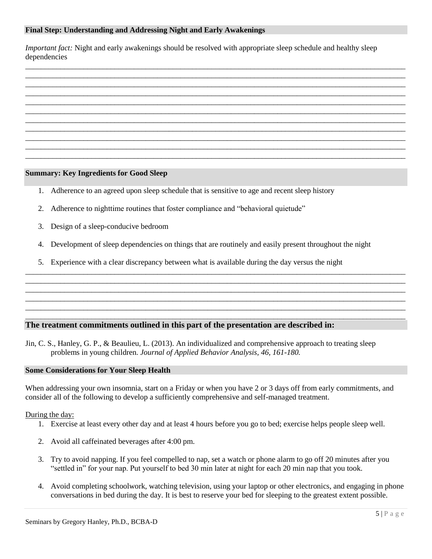### **Final Step: Understanding and Addressing Night and Early Awakenings**

*Important fact:* Night and early awakenings should be resolved with appropriate sleep schedule and healthy sleep dependencies

\_\_\_\_\_\_\_\_\_\_\_\_\_\_\_\_\_\_\_\_\_\_\_\_\_\_\_\_\_\_\_\_\_\_\_\_\_\_\_\_\_\_\_\_\_\_\_\_\_\_\_\_\_\_\_\_\_\_\_\_\_\_\_\_\_\_\_\_\_\_\_\_\_\_\_\_\_\_\_\_\_\_\_\_\_\_\_\_\_\_\_\_\_\_\_\_\_\_ \_\_\_\_\_\_\_\_\_\_\_\_\_\_\_\_\_\_\_\_\_\_\_\_\_\_\_\_\_\_\_\_\_\_\_\_\_\_\_\_\_\_\_\_\_\_\_\_\_\_\_\_\_\_\_\_\_\_\_\_\_\_\_\_\_\_\_\_\_\_\_\_\_\_\_\_\_\_\_\_\_\_\_\_\_\_\_\_\_\_\_\_\_\_\_\_\_\_ \_\_\_\_\_\_\_\_\_\_\_\_\_\_\_\_\_\_\_\_\_\_\_\_\_\_\_\_\_\_\_\_\_\_\_\_\_\_\_\_\_\_\_\_\_\_\_\_\_\_\_\_\_\_\_\_\_\_\_\_\_\_\_\_\_\_\_\_\_\_\_\_\_\_\_\_\_\_\_\_\_\_\_\_\_\_\_\_\_\_\_\_\_\_\_\_\_\_ \_\_\_\_\_\_\_\_\_\_\_\_\_\_\_\_\_\_\_\_\_\_\_\_\_\_\_\_\_\_\_\_\_\_\_\_\_\_\_\_\_\_\_\_\_\_\_\_\_\_\_\_\_\_\_\_\_\_\_\_\_\_\_\_\_\_\_\_\_\_\_\_\_\_\_\_\_\_\_\_\_\_\_\_\_\_\_\_\_\_\_\_\_\_\_\_\_\_ \_\_\_\_\_\_\_\_\_\_\_\_\_\_\_\_\_\_\_\_\_\_\_\_\_\_\_\_\_\_\_\_\_\_\_\_\_\_\_\_\_\_\_\_\_\_\_\_\_\_\_\_\_\_\_\_\_\_\_\_\_\_\_\_\_\_\_\_\_\_\_\_\_\_\_\_\_\_\_\_\_\_\_\_\_\_\_\_\_\_\_\_\_\_\_\_\_\_ \_\_\_\_\_\_\_\_\_\_\_\_\_\_\_\_\_\_\_\_\_\_\_\_\_\_\_\_\_\_\_\_\_\_\_\_\_\_\_\_\_\_\_\_\_\_\_\_\_\_\_\_\_\_\_\_\_\_\_\_\_\_\_\_\_\_\_\_\_\_\_\_\_\_\_\_\_\_\_\_\_\_\_\_\_\_\_\_\_\_\_\_\_\_\_\_\_\_ \_\_\_\_\_\_\_\_\_\_\_\_\_\_\_\_\_\_\_\_\_\_\_\_\_\_\_\_\_\_\_\_\_\_\_\_\_\_\_\_\_\_\_\_\_\_\_\_\_\_\_\_\_\_\_\_\_\_\_\_\_\_\_\_\_\_\_\_\_\_\_\_\_\_\_\_\_\_\_\_\_\_\_\_\_\_\_\_\_\_\_\_\_\_\_\_\_\_ \_\_\_\_\_\_\_\_\_\_\_\_\_\_\_\_\_\_\_\_\_\_\_\_\_\_\_\_\_\_\_\_\_\_\_\_\_\_\_\_\_\_\_\_\_\_\_\_\_\_\_\_\_\_\_\_\_\_\_\_\_\_\_\_\_\_\_\_\_\_\_\_\_\_\_\_\_\_\_\_\_\_\_\_\_\_\_\_\_\_\_\_\_\_\_\_\_\_ \_\_\_\_\_\_\_\_\_\_\_\_\_\_\_\_\_\_\_\_\_\_\_\_\_\_\_\_\_\_\_\_\_\_\_\_\_\_\_\_\_\_\_\_\_\_\_\_\_\_\_\_\_\_\_\_\_\_\_\_\_\_\_\_\_\_\_\_\_\_\_\_\_\_\_\_\_\_\_\_\_\_\_\_\_\_\_\_\_\_\_\_\_\_\_\_\_\_ \_\_\_\_\_\_\_\_\_\_\_\_\_\_\_\_\_\_\_\_\_\_\_\_\_\_\_\_\_\_\_\_\_\_\_\_\_\_\_\_\_\_\_\_\_\_\_\_\_\_\_\_\_\_\_\_\_\_\_\_\_\_\_\_\_\_\_\_\_\_\_\_\_\_\_\_\_\_\_\_\_\_\_\_\_\_\_\_\_\_\_\_\_\_\_\_\_\_ \_\_\_\_\_\_\_\_\_\_\_\_\_\_\_\_\_\_\_\_\_\_\_\_\_\_\_\_\_\_\_\_\_\_\_\_\_\_\_\_\_\_\_\_\_\_\_\_\_\_\_\_\_\_\_\_\_\_\_\_\_\_\_\_\_\_\_\_\_\_\_\_\_\_\_\_\_\_\_\_\_\_\_\_\_\_\_\_\_\_\_\_\_\_\_\_\_\_

### **Summary: Key Ingredients for Good Sleep**

- 1. Adherence to an agreed upon sleep schedule that is sensitive to age and recent sleep history
- 2. Adherence to nighttime routines that foster compliance and "behavioral quietude"
- 3. Design of a sleep-conducive bedroom
- 4. Development of sleep dependencies on things that are routinely and easily present throughout the night

\_\_\_\_\_\_\_\_\_\_\_\_\_\_\_\_\_\_\_\_\_\_\_\_\_\_\_\_\_\_\_\_\_\_\_\_\_\_\_\_\_\_\_\_\_\_\_\_\_\_\_\_\_\_\_\_\_\_\_\_\_\_\_\_\_\_\_\_\_\_\_\_\_\_\_\_\_\_\_\_\_\_\_\_\_\_\_\_\_\_\_\_\_\_\_\_\_\_ \_\_\_\_\_\_\_\_\_\_\_\_\_\_\_\_\_\_\_\_\_\_\_\_\_\_\_\_\_\_\_\_\_\_\_\_\_\_\_\_\_\_\_\_\_\_\_\_\_\_\_\_\_\_\_\_\_\_\_\_\_\_\_\_\_\_\_\_\_\_\_\_\_\_\_\_\_\_\_\_\_\_\_\_\_\_\_\_\_\_\_\_\_\_\_\_\_\_ \_\_\_\_\_\_\_\_\_\_\_\_\_\_\_\_\_\_\_\_\_\_\_\_\_\_\_\_\_\_\_\_\_\_\_\_\_\_\_\_\_\_\_\_\_\_\_\_\_\_\_\_\_\_\_\_\_\_\_\_\_\_\_\_\_\_\_\_\_\_\_\_\_\_\_\_\_\_\_\_\_\_\_\_\_\_\_\_\_\_\_\_\_\_\_\_\_\_ \_\_\_\_\_\_\_\_\_\_\_\_\_\_\_\_\_\_\_\_\_\_\_\_\_\_\_\_\_\_\_\_\_\_\_\_\_\_\_\_\_\_\_\_\_\_\_\_\_\_\_\_\_\_\_\_\_\_\_\_\_\_\_\_\_\_\_\_\_\_\_\_\_\_\_\_\_\_\_\_\_\_\_\_\_\_\_\_\_\_\_\_\_\_\_\_\_\_ \_\_\_\_\_\_\_\_\_\_\_\_\_\_\_\_\_\_\_\_\_\_\_\_\_\_\_\_\_\_\_\_\_\_\_\_\_\_\_\_\_\_\_\_\_\_\_\_\_\_\_\_\_\_\_\_\_\_\_\_\_\_\_\_\_\_\_\_\_\_\_\_\_\_\_\_\_\_\_\_\_\_\_\_\_\_\_\_\_\_\_\_\_\_\_\_\_\_ \_\_\_\_\_\_\_\_\_\_\_\_\_\_\_\_\_\_\_\_\_\_\_\_\_\_\_\_\_\_\_\_\_\_\_\_\_\_\_\_\_\_\_\_\_\_\_\_\_\_\_\_\_\_\_\_\_\_\_\_\_\_\_\_\_\_\_\_\_\_\_\_\_\_\_\_\_\_\_\_\_\_\_\_\_\_\_\_\_\_\_\_\_\_\_\_\_\_

5. Experience with a clear discrepancy between what is available during the day versus the night

## **The treatment commitments outlined in this part of the presentation are described in:**

Jin, C. S., Hanley, G. P., & Beaulieu, L. (2013). An individualized and comprehensive approach to treating sleep problems in young children. *Journal of Applied Behavior Analysis, 46, 161-180.*

### **Some Considerations for Your Sleep Health**

When addressing your own insomnia, start on a Friday or when you have 2 or 3 days off from early commitments, and consider all of the following to develop a sufficiently comprehensive and self-managed treatment.

### During the day:

- 1. Exercise at least every other day and at least 4 hours before you go to bed; exercise helps people sleep well.
- 2. Avoid all caffeinated beverages after 4:00 pm.
- 3. Try to avoid napping. If you feel compelled to nap, set a watch or phone alarm to go off 20 minutes after you "settled in" for your nap. Put yourself to bed 30 min later at night for each 20 min nap that you took.
- 4. Avoid completing schoolwork, watching television, using your laptop or other electronics, and engaging in phone conversations in bed during the day. It is best to reserve your bed for sleeping to the greatest extent possible.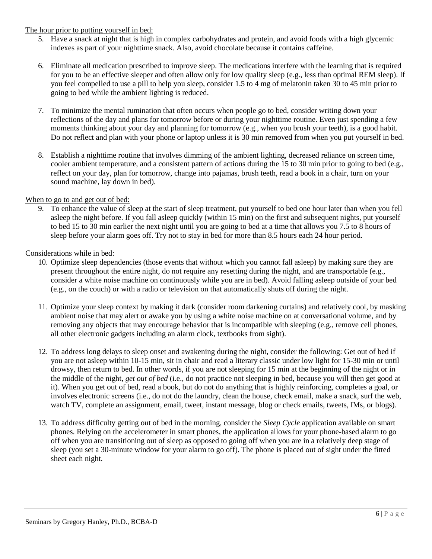## The hour prior to putting yourself in bed:

- 5. Have a snack at night that is high in complex carbohydrates and protein, and avoid foods with a high glycemic indexes as part of your nighttime snack. Also, avoid chocolate because it contains caffeine.
- 6. Eliminate all medication prescribed to improve sleep. The medications interfere with the learning that is required for you to be an effective sleeper and often allow only for low quality sleep (e.g., less than optimal REM sleep). If you feel compelled to use a pill to help you sleep, consider 1.5 to 4 mg of melatonin taken 30 to 45 min prior to going to bed while the ambient lighting is reduced.
- 7. To minimize the mental rumination that often occurs when people go to bed, consider writing down your reflections of the day and plans for tomorrow before or during your nighttime routine. Even just spending a few moments thinking about your day and planning for tomorrow (e.g., when you brush your teeth), is a good habit. Do not reflect and plan with your phone or laptop unless it is 30 min removed from when you put yourself in bed.
- 8. Establish a nighttime routine that involves dimming of the ambient lighting, decreased reliance on screen time, cooler ambient temperature, and a consistent pattern of actions during the 15 to 30 min prior to going to bed (e.g., reflect on your day, plan for tomorrow, change into pajamas, brush teeth, read a book in a chair, turn on your sound machine, lay down in bed).

## When to go to and get out of bed:

9. To enhance the value of sleep at the start of sleep treatment, put yourself to bed one hour later than when you fell asleep the night before. If you fall asleep quickly (within 15 min) on the first and subsequent nights, put yourself to bed 15 to 30 min earlier the next night until you are going to bed at a time that allows you 7.5 to 8 hours of sleep before your alarm goes off. Try not to stay in bed for more than 8.5 hours each 24 hour period.

## Considerations while in bed:

- 10. Optimize sleep dependencies (those events that without which you cannot fall asleep) by making sure they are present throughout the entire night, do not require any resetting during the night, and are transportable (e.g., consider a white noise machine on continuously while you are in bed). Avoid falling asleep outside of your bed (e.g., on the couch) or with a radio or television on that automatically shuts off during the night.
- 11. Optimize your sleep context by making it dark (consider room darkening curtains) and relatively cool, by masking ambient noise that may alert or awake you by using a white noise machine on at conversational volume, and by removing any objects that may encourage behavior that is incompatible with sleeping (e.g., remove cell phones, all other electronic gadgets including an alarm clock, textbooks from sight).
- 12. To address long delays to sleep onset and awakening during the night, consider the following: Get out of bed if you are not asleep within 10-15 min, sit in chair and read a literary classic under low light for 15-30 min or until drowsy, then return to bed. In other words, if you are not sleeping for 15 min at the beginning of the night or in the middle of the night, *get out of bed* (i.e., do not practice not sleeping in bed, because you will then get good at it). When you get out of bed, read a book, but do not do anything that is highly reinforcing, completes a goal, or involves electronic screens (i.e., do not do the laundry, clean the house, check email, make a snack, surf the web, watch TV, complete an assignment, email, tweet, instant message, blog or check emails, tweets, IMs, or blogs).
- 13. To address difficulty getting out of bed in the morning, consider the *Sleep Cycle* application available on smart phones. Relying on the accelerometer in smart phones, the application allows for your phone-based alarm to go off when you are transitioning out of sleep as opposed to going off when you are in a relatively deep stage of sleep (you set a 30-minute window for your alarm to go off). The phone is placed out of sight under the fitted sheet each night.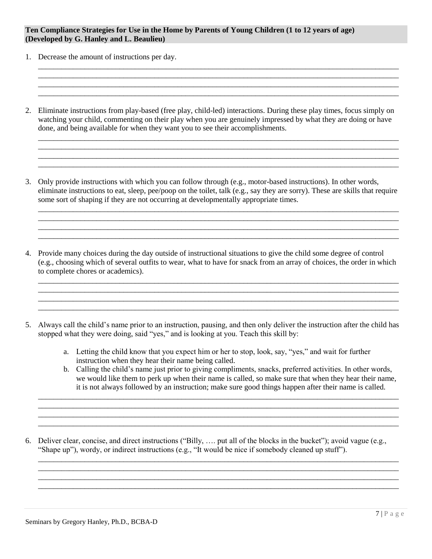### **Ten Compliance Strategies for Use in the Home by Parents of Young Children (1 to 12 years of age) (Developed by G. Hanley and L. Beaulieu)**

- 1. Decrease the amount of instructions per day.
- 2. Eliminate instructions from play-based (free play, child-led) interactions. During these play times, focus simply on watching your child, commenting on their play when you are genuinely impressed by what they are doing or have done, and being available for when they want you to see their accomplishments.

\_\_\_\_\_\_\_\_\_\_\_\_\_\_\_\_\_\_\_\_\_\_\_\_\_\_\_\_\_\_\_\_\_\_\_\_\_\_\_\_\_\_\_\_\_\_\_\_\_\_\_\_\_\_\_\_\_\_\_\_\_\_\_\_\_\_\_\_\_\_\_\_\_\_\_\_\_\_\_\_\_\_\_\_\_\_\_\_\_\_\_\_\_ \_\_\_\_\_\_\_\_\_\_\_\_\_\_\_\_\_\_\_\_\_\_\_\_\_\_\_\_\_\_\_\_\_\_\_\_\_\_\_\_\_\_\_\_\_\_\_\_\_\_\_\_\_\_\_\_\_\_\_\_\_\_\_\_\_\_\_\_\_\_\_\_\_\_\_\_\_\_\_\_\_\_\_\_\_\_\_\_\_\_\_\_\_

\_\_\_\_\_\_\_\_\_\_\_\_\_\_\_\_\_\_\_\_\_\_\_\_\_\_\_\_\_\_\_\_\_\_\_\_\_\_\_\_\_\_\_\_\_\_\_\_\_\_\_\_\_\_\_\_\_\_\_\_\_\_\_\_\_\_\_\_\_\_\_\_\_\_\_\_\_\_\_\_\_\_\_\_\_\_\_\_\_\_\_\_\_

\_\_\_\_\_\_\_\_\_\_\_\_\_\_\_\_\_\_\_\_\_\_\_\_\_\_\_\_\_\_\_\_\_\_\_\_\_\_\_\_\_\_\_\_\_\_\_\_\_\_\_\_\_\_\_\_\_\_\_\_\_\_\_\_\_\_\_\_\_\_\_\_\_\_\_\_\_\_\_\_\_\_\_\_\_\_\_\_\_\_\_\_\_ \_\_\_\_\_\_\_\_\_\_\_\_\_\_\_\_\_\_\_\_\_\_\_\_\_\_\_\_\_\_\_\_\_\_\_\_\_\_\_\_\_\_\_\_\_\_\_\_\_\_\_\_\_\_\_\_\_\_\_\_\_\_\_\_\_\_\_\_\_\_\_\_\_\_\_\_\_\_\_\_\_\_\_\_\_\_\_\_\_\_\_\_\_

\_\_\_\_\_\_\_\_\_\_\_\_\_\_\_\_\_\_\_\_\_\_\_\_\_\_\_\_\_\_\_\_\_\_\_\_\_\_\_\_\_\_\_\_\_\_\_\_\_\_\_\_\_\_\_\_\_\_\_\_\_\_\_\_\_\_\_\_\_\_\_\_\_\_\_\_\_\_\_\_\_\_\_\_\_\_\_\_\_\_\_\_\_

\_\_\_\_\_\_\_\_\_\_\_\_\_\_\_\_\_\_\_\_\_\_\_\_\_\_\_\_\_\_\_\_\_\_\_\_\_\_\_\_\_\_\_\_\_\_\_\_\_\_\_\_\_\_\_\_\_\_\_\_\_\_\_\_\_\_\_\_\_\_\_\_\_\_\_\_\_\_\_\_\_\_\_\_\_\_\_\_\_\_\_\_\_ \_\_\_\_\_\_\_\_\_\_\_\_\_\_\_\_\_\_\_\_\_\_\_\_\_\_\_\_\_\_\_\_\_\_\_\_\_\_\_\_\_\_\_\_\_\_\_\_\_\_\_\_\_\_\_\_\_\_\_\_\_\_\_\_\_\_\_\_\_\_\_\_\_\_\_\_\_\_\_\_\_\_\_\_\_\_\_\_\_\_\_\_\_ \_\_\_\_\_\_\_\_\_\_\_\_\_\_\_\_\_\_\_\_\_\_\_\_\_\_\_\_\_\_\_\_\_\_\_\_\_\_\_\_\_\_\_\_\_\_\_\_\_\_\_\_\_\_\_\_\_\_\_\_\_\_\_\_\_\_\_\_\_\_\_\_\_\_\_\_\_\_\_\_\_\_\_\_\_\_\_\_\_\_\_\_\_ \_\_\_\_\_\_\_\_\_\_\_\_\_\_\_\_\_\_\_\_\_\_\_\_\_\_\_\_\_\_\_\_\_\_\_\_\_\_\_\_\_\_\_\_\_\_\_\_\_\_\_\_\_\_\_\_\_\_\_\_\_\_\_\_\_\_\_\_\_\_\_\_\_\_\_\_\_\_\_\_\_\_\_\_\_\_\_\_\_\_\_\_\_

 $\_$  ,  $\_$  ,  $\_$  ,  $\_$  ,  $\_$  ,  $\_$  ,  $\_$  ,  $\_$  ,  $\_$  ,  $\_$  ,  $\_$  ,  $\_$  ,  $\_$  ,  $\_$  ,  $\_$  ,  $\_$  ,  $\_$  ,  $\_$  ,  $\_$  ,  $\_$  ,  $\_$  ,  $\_$  ,  $\_$  ,  $\_$  ,  $\_$  ,  $\_$  ,  $\_$  ,  $\_$  ,  $\_$  ,  $\_$  ,  $\_$  ,  $\_$  ,  $\_$  ,  $\_$  ,  $\_$  ,  $\_$  ,  $\_$  ,

\_\_\_\_\_\_\_\_\_\_\_\_\_\_\_\_\_\_\_\_\_\_\_\_\_\_\_\_\_\_\_\_\_\_\_\_\_\_\_\_\_\_\_\_\_\_\_\_\_\_\_\_\_\_\_\_\_\_\_\_\_\_\_\_\_\_\_\_\_\_\_\_\_\_\_\_\_\_\_\_\_\_\_\_\_\_\_\_\_\_\_\_\_ \_\_\_\_\_\_\_\_\_\_\_\_\_\_\_\_\_\_\_\_\_\_\_\_\_\_\_\_\_\_\_\_\_\_\_\_\_\_\_\_\_\_\_\_\_\_\_\_\_\_\_\_\_\_\_\_\_\_\_\_\_\_\_\_\_\_\_\_\_\_\_\_\_\_\_\_\_\_\_\_\_\_\_\_\_\_\_\_\_\_\_\_\_ \_\_\_\_\_\_\_\_\_\_\_\_\_\_\_\_\_\_\_\_\_\_\_\_\_\_\_\_\_\_\_\_\_\_\_\_\_\_\_\_\_\_\_\_\_\_\_\_\_\_\_\_\_\_\_\_\_\_\_\_\_\_\_\_\_\_\_\_\_\_\_\_\_\_\_\_\_\_\_\_\_\_\_\_\_\_\_\_\_\_\_\_\_ \_\_\_\_\_\_\_\_\_\_\_\_\_\_\_\_\_\_\_\_\_\_\_\_\_\_\_\_\_\_\_\_\_\_\_\_\_\_\_\_\_\_\_\_\_\_\_\_\_\_\_\_\_\_\_\_\_\_\_\_\_\_\_\_\_\_\_\_\_\_\_\_\_\_\_\_\_\_\_\_\_\_\_\_\_\_\_\_\_\_\_\_\_

3. Only provide instructions with which you can follow through (e.g., motor-based instructions). In other words, eliminate instructions to eat, sleep, pee/poop on the toilet, talk (e.g., say they are sorry). These are skills that require some sort of shaping if they are not occurring at developmentally appropriate times.

4. Provide many choices during the day outside of instructional situations to give the child some degree of control (e.g., choosing which of several outfits to wear, what to have for snack from an array of choices, the order in which to complete chores or academics).

5. Always call the child's name prior to an instruction, pausing, and then only deliver the instruction after the child has stopped what they were doing, said "yes," and is looking at you. Teach this skill by:

> a. Letting the child know that you expect him or her to stop, look, say, "yes," and wait for further instruction when they hear their name being called.

\_\_\_\_\_\_\_\_\_\_\_\_\_\_\_\_\_\_\_\_\_\_\_\_\_\_\_\_\_\_\_\_\_\_\_\_\_\_\_\_\_\_\_\_\_\_\_\_\_\_\_\_\_\_\_\_\_\_\_\_\_\_\_\_\_\_\_\_\_\_\_\_\_\_\_\_\_\_\_\_\_\_\_\_\_\_\_\_\_\_\_\_\_ \_\_\_\_\_\_\_\_\_\_\_\_\_\_\_\_\_\_\_\_\_\_\_\_\_\_\_\_\_\_\_\_\_\_\_\_\_\_\_\_\_\_\_\_\_\_\_\_\_\_\_\_\_\_\_\_\_\_\_\_\_\_\_\_\_\_\_\_\_\_\_\_\_\_\_\_\_\_\_\_\_\_\_\_\_\_\_\_\_\_\_\_\_ \_\_\_\_\_\_\_\_\_\_\_\_\_\_\_\_\_\_\_\_\_\_\_\_\_\_\_\_\_\_\_\_\_\_\_\_\_\_\_\_\_\_\_\_\_\_\_\_\_\_\_\_\_\_\_\_\_\_\_\_\_\_\_\_\_\_\_\_\_\_\_\_\_\_\_\_\_\_\_\_\_\_\_\_\_\_\_\_\_\_\_\_\_ \_\_\_\_\_\_\_\_\_\_\_\_\_\_\_\_\_\_\_\_\_\_\_\_\_\_\_\_\_\_\_\_\_\_\_\_\_\_\_\_\_\_\_\_\_\_\_\_\_\_\_\_\_\_\_\_\_\_\_\_\_\_\_\_\_\_\_\_\_\_\_\_\_\_\_\_\_\_\_\_\_\_\_\_\_\_\_\_\_\_\_\_\_

\_\_\_\_\_\_\_\_\_\_\_\_\_\_\_\_\_\_\_\_\_\_\_\_\_\_\_\_\_\_\_\_\_\_\_\_\_\_\_\_\_\_\_\_\_\_\_\_\_\_\_\_\_\_\_\_\_\_\_\_\_\_\_\_\_\_\_\_\_\_\_\_\_\_\_\_\_\_\_\_\_\_\_\_\_\_\_\_\_\_\_\_\_ \_\_\_\_\_\_\_\_\_\_\_\_\_\_\_\_\_\_\_\_\_\_\_\_\_\_\_\_\_\_\_\_\_\_\_\_\_\_\_\_\_\_\_\_\_\_\_\_\_\_\_\_\_\_\_\_\_\_\_\_\_\_\_\_\_\_\_\_\_\_\_\_\_\_\_\_\_\_\_\_\_\_\_\_\_\_\_\_\_\_\_\_\_

\_\_\_\_\_\_\_\_\_\_\_\_\_\_\_\_\_\_\_\_\_\_\_\_\_\_\_\_\_\_\_\_\_\_\_\_\_\_\_\_\_\_\_\_\_\_\_\_\_\_\_\_\_\_\_\_\_\_\_\_\_\_\_\_\_\_\_\_\_\_\_\_\_\_\_\_\_\_\_\_\_\_\_\_\_\_\_\_\_\_\_\_\_

- b. Calling the child's name just prior to giving compliments, snacks, preferred activities. In other words, we would like them to perk up when their name is called, so make sure that when they hear their name, it is not always followed by an instruction; make sure good things happen after their name is called.
- 6. Deliver clear, concise, and direct instructions ("Billy, …. put all of the blocks in the bucket"); avoid vague (e.g., "Shape up"), wordy, or indirect instructions (e.g., "It would be nice if somebody cleaned up stuff").